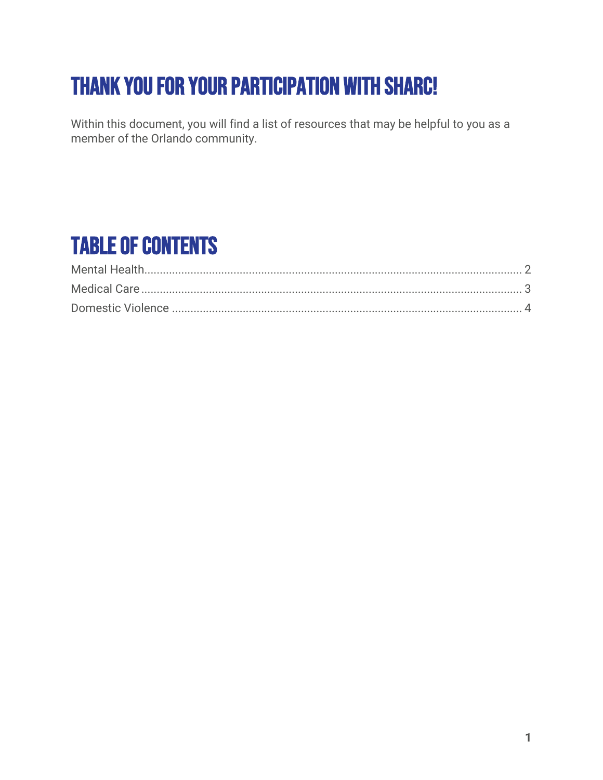# Thank you for your participation with SHARC!

Within this document, you will find a list of resources that may be helpful to you as a member of the Orlando community.

## Table of Contents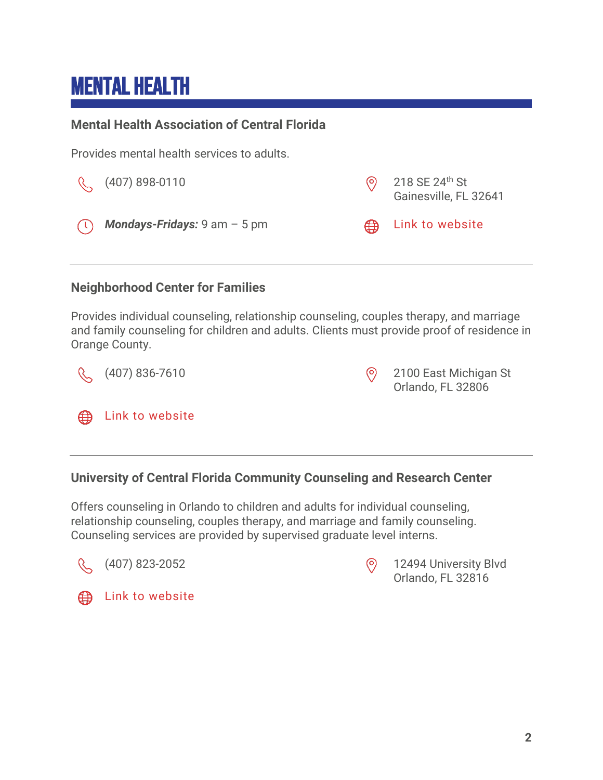## <span id="page-1-0"></span>Mental Health

#### **Mental Health Association of Central Florida**

Provides mental health services to adults.

|          | $\left(\frac{1}{2}\right)$ (407) 898-0110             | 218 SE 24 <sup>th</sup> St<br>Gainesville, FL 32641 |
|----------|-------------------------------------------------------|-----------------------------------------------------|
| $(\cup)$ | <b>Mondays-Fridays:</b> $9 \text{ am} - 5 \text{ pm}$ | the Link to website                                 |

#### **Neighborhood Center for Families**

Provides individual counseling, relationship counseling, couples therapy, and marriage and family counseling for children and adults. Clients must provide proof of residence in Orange County.

 $\alpha$ (407) 836-7610 2100 East Michigan St Orlando, FL 32806 [Link to website](https://4cflorida.org/parents/neighborhood-centers-for-families-ncf/)  ⊕

#### **University of Central Florida Community Counseling and Research Center**

Offers counseling in Orlando to children and adults for individual counseling, relationship counseling, couples therapy, and marriage and family counseling. Counseling services are provided by supervised graduate level interns.





(407) 823-2052 12494 University Blvd Orlando, FL 32816



**ED** [Link to website](https://4cflorida.org/parents/neighborhood-centers-for-families-ncf/)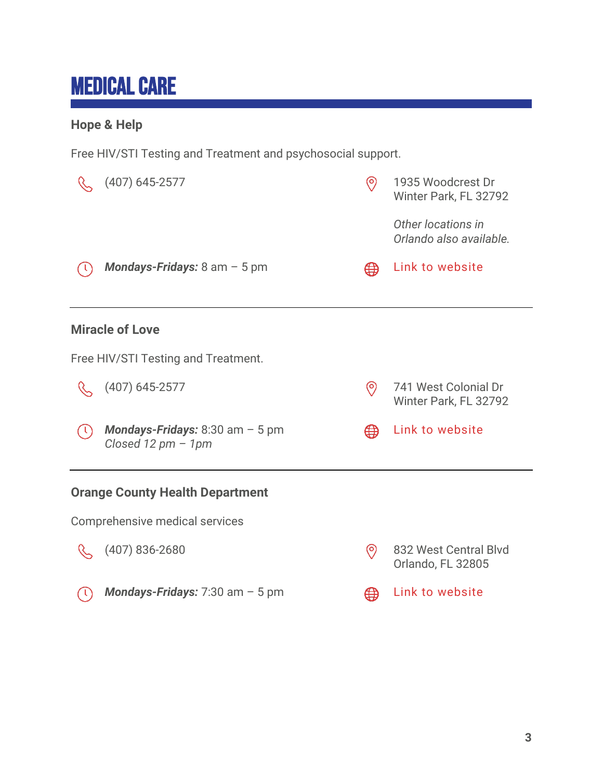## <span id="page-2-0"></span>Medical Care

#### **Hope & Help**

Free HIV/STI Testing and Treatment and psychosocial support.